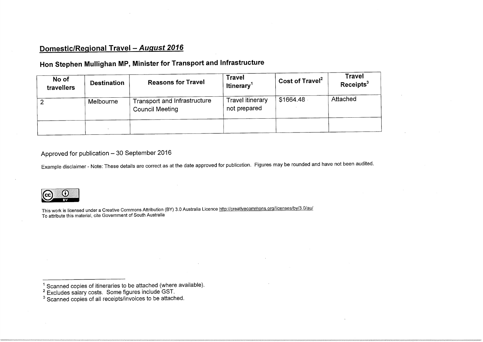## Domestic/Regional Travel - August 2016

## Hon Stephen Mullighan MP, Minister for Transport and Infrastructure

| No of<br>travellers | <b>Destination</b> | <b>Reasons for Travel</b>                              | <b>Travel</b><br>Itinerary <sup>1</sup> | Cost of Travel <sup>2</sup> | <b>Travel</b><br>Receipts <sup>3</sup> |
|---------------------|--------------------|--------------------------------------------------------|-----------------------------------------|-----------------------------|----------------------------------------|
|                     | Melbourne          | Transport and Infrastructure<br><b>Council Meeting</b> | Travel itinerary<br>not prepared        | \$1664.48                   | Attached                               |
|                     |                    |                                                        |                                         |                             |                                        |

## Approved for publication - 30 September 2016

Example disclaimer - Note: These details are correct as at the date approved for publication. Figures may be rounded and have not been audited.



This work is licensed under a Creative Commons Attribution (BY) 3.0 Australia Licence  $\frac{1}{100}$ .//commons.org/licenses/by/3.0/au/ To attribute this material, cite Government of South Australia

<sup>1</sup> Scanned copies of itineraries to be attached (where available). Excludes salary costs. Some figures include GST. Scanned copies of all receipts/invoices to be attached.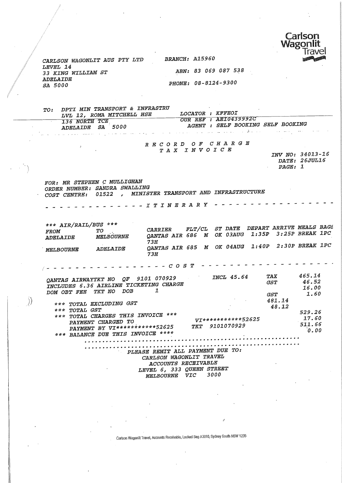

CARLSON WAGONLIT AUS PTY LTD BRANCH: A15960 LEVEL 14<br>33 KING WILLIAM ST ADELAIDE<br>SA 5000

 $\mathcal{E}$ 

ABN: 83 069 087 538 PHONE: 08-8124-9300

TO: DPTI MIN TRANSPORT & INFRASTRU LVL 12, ROMA MITCHELL HSE LOCATOR : KFFEOI<br>136 NORTH TCE **OUR REF** : AE1043  $\begin{array}{lllllllllll} {\textcolor{red}{\textbf{136}}}&\textcolor{red}{\textbf{136}}&\textcolor{red}{\textbf{136}}&\textcolor{red}{\textbf{136}}&\textcolor{red}{\textbf{136}}&\textcolor{red}{\textbf{136}}&\textcolor{red}{\textbf{136}}&\textcolor{red}{\textbf{136}}&\textcolor{red}{\textbf{136}}&\textcolor{red}{\textbf{136}}&\textcolor{red}{\textbf{136}}&\textcolor{red}{\textbf{136}}&\textcolor{red}{\textbf{136}}&\textcolor{red}{\textbf{136}}$ ADELAIDE SA 5000 AGENT : SELF BOOKING SELF BOOKING ; RECORD OF CHARGE TAX INVOICE INV NO: 34013-16 DATE: 26JUL16  $\sum_{n=1}^{\infty}$ FOR: MR STEPHEN C MULLIGHAN RDER NUMBER: SANDRA SWALLING COST CENTRE: 01522 , MINISTER TRANSPORT AND INFRASTRUCTURE ITINERARY \*\*\* AIR/RAIL/BUS \*\*\*<br>FROM TO ROM TO . CARRIER FLT/CL ST DATE DEPART ARRIVE MEALS DAG.<br>CARRIER FLT/CL ST DATE DEPART ARRIVE MEALS DAG. DELAIDE MELBOURNE QANTAS AIR 686 M OK 03AUG 1:35P 3:25P BREAK 1PC ת<br>----ELBOURNE ADELAIDE QANTAS AIR 685 M OK 04AUG 1:40F 2.501 BREAK 1PC 73H COST  $\ell = -1$ 465.14<br>46.52 TAX **INCL 45.64** QANTA3 AIRWAYTKT NO QF 9101 070929  $GST$ INCLUDES 6.36 AIRLINE TICKETING CHARGE 16.00 DOM OBT FEE TKT NO DOB 1  $1.60$ GST<br>481.14  $1.600$ \*#\* TOTAL EXCLUDING GST  $\frac{104}{48}$ .  $\frac{1}{2}$ \*\*\* TOTAL GST  $\ddotsc$  $\overline{a}$ 529.26 \*\*\* TOTAL CHARGES THIS INVOICE \*«\* •VI\*«\*\*\*\*\*\*»\*\*52625 PAYMENT CHARGED TO 511.66 PAYMENT BY VI\*\*\*\*\*«\*\*\*«\*52625 TKT 9101070929  $\frac{1}{0.00}$ \*\*\* BALANCE DUE THIS INVOICE \*\*\*«  $\cdot$ .00 PLEASE REMIT ALL PAYMENT DUE TO: CARLSON WAGONLIT TRAVEL ACCOUNTS RECEIVABLE LEVEL 0, 333 QUEEN SIRBET<br>Actionists street 2000 MELBOUKNE VIC 3000

Cartson Wagonllt Travel, Accounts Receivable, Locked Bag A3010, Sydney South NSW 1235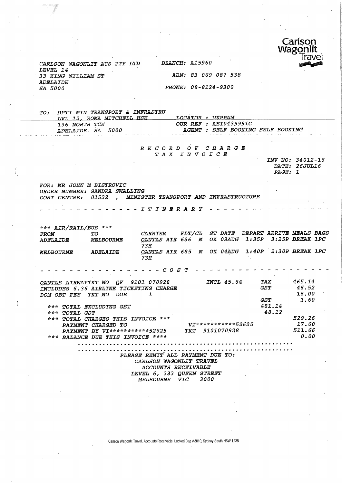

INV NO: 34012-16 DATE: 26JUL16

PAGE: 1

CARLSON WAGONLIT AUS PT7 LTD BRANCH: A15960 LEVEL 14 33 KING WILLIAM ST ABN: 83 069 087 538 ADELAIDE 3A 5000 PHONE: 08-8124-9300

÷

 $\langle$ 

TO: DPTI MIN TRANSPORT & INFRASTRU LVL 12, ROMA MITCHELL HSE . LOCATOR : UXPPAM<br>136 NORTH TCE . . .QUR REF : AEI0439 136 NORTH TCE 65000 COUR REF : AEI0439991C<br>
ADELAIDE SA 5000 CAGENT : SELF BOOKING AGENT : SELF BOOKING SELF BOOKING

#### RECORD OF CHARGE TAX INVOICE

FOR: MR JOHN M BISTROVIC ORDER NUMBER: SANDRA SWALLING COST CENTRE: 01522 , MINISTER TRANSPORT AND INFRASTRUCTURE

----- ITINERARY --

\*\*\* AIR/RAIL/BUS \*\*\* FROM TO CARRIER FLT/CL ST DATE DEPART ARRIVE MEALS BAGS<br>ADELAIDE MELBOURNE QANTAS AIR 686 M OK 03AUG 1:35P 3:25P BREAK 1PC QANTAS AIR 686 M OK 03AUG 1:35P 3:25P BREAK 1PC 73H MELBOURNE ADELAIDE QANTAS AIR 685 M OK 04AUG 1:40P 2:30P BREAK 1PC 73H - - - - *COST* - - - - - - - -Q&NTAS AIRWAYTKT NO QF 9101 070928 INCL 45.64 TAX 465.14 46. 52 GST INCLUDES 6.36 AIRLINE TICKETING CHARGE 16.00 DOM OBT FEE TKT NO DOB 1 GST 1.60 481.14 \*\*\* TOTAL EXCLUDING QST 48.12 \*<•\* TOTAL QST 529.26 \*\*\* TOTAL-CHARGES THIS INVOICE \*\*\* yj\*\*\*\*\*\*\*\*\*#\*52525 17.60 PAYMENT CHARGED TO. PAYMENT BY VI\*\*\*\*\*\*\*\*\*\*\*\*52625 TKT 9101070928 511.66 \*\*\* BALANCE DUE THIS INVOICE \*\*\*\* 0.00 PLEASE REMIT ALL PAYMENT DUE TO: CARLSON WAGONLIT TRAVEL ACCOUNTS RECEIVABLE LEVEL 6, 333 QUEEN STREET MELBOURNE VIC 3000

Carton Wagonllt Travel, Accounts Receivable, Locked Bag A3010, Sydney South NSW 1235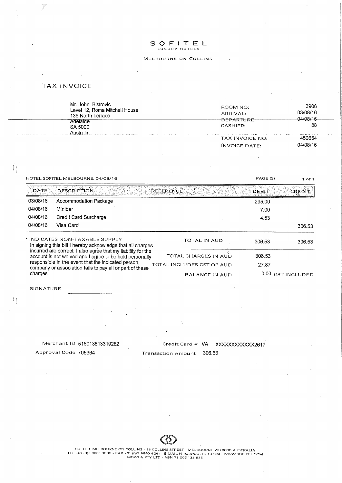# S OFITEL

#### MELBOURNE ON COLLIMS

#### TAX INVOICE

| Mr. John Bistrovic<br>Level 12, Roma Mitchell House<br>136 North Terrace<br>Adelaide<br>SA 5000 | ROOM NO:<br>ARRIVAL:<br>DEPARTURE.<br>CASHIER:                                  | 3906<br>03/08/16<br>-04/08/16-<br>38 |  |
|-------------------------------------------------------------------------------------------------|---------------------------------------------------------------------------------|--------------------------------------|--|
| Australia<br>المالدان الماراني المتحرك المنادي المنتظم مصطلا مصاحبته والتواصيب                  | $\cdots$<br>The Company of the Company of the Company of the<br>TAX INVOICE NO: | 450654                               |  |
|                                                                                                 | <b>INVOICE DATE:</b>                                                            | 04/08/16                             |  |
|                                                                                                 |                                                                                 |                                      |  |

| HOTEL SOFITEL MELBOURNE, 04/08/16                                                                                                                                                                                                                                                                                                                      |                       |                                 | PAGE (S)     | $1$ of $1$          |
|--------------------------------------------------------------------------------------------------------------------------------------------------------------------------------------------------------------------------------------------------------------------------------------------------------------------------------------------------------|-----------------------|---------------------------------|--------------|---------------------|
| <b>DATE</b>                                                                                                                                                                                                                                                                                                                                            | <b>DESCRIPTION</b>    | <b>REFERENCE</b>                | <b>DEBIT</b> | <b>CREDIT</b>       |
| 03/08/16                                                                                                                                                                                                                                                                                                                                               | Accommodation Package |                                 | 295.00       |                     |
| 04/08/16                                                                                                                                                                                                                                                                                                                                               | Minibar               |                                 | 7.00         |                     |
| 04/08/16                                                                                                                                                                                                                                                                                                                                               | Credit Card Surcharge |                                 | 4.53         |                     |
| 04/08/16                                                                                                                                                                                                                                                                                                                                               | Visa Card             |                                 |              | 306.53              |
| * INDICATES NON-TAXABLE SUPPLY<br>In signing this bill I hereby acknowledge that all charges<br>incurred are correct. I also agree that my liability for the<br>account is not waived and I agree to be held personally<br>responsible in the event that the indicated person,<br>company or association fails to pay all or part of these<br>charges. |                       | TOTAL IN AUD                    | 306.53       | 306.53              |
|                                                                                                                                                                                                                                                                                                                                                        |                       | in Pipe<br>TOTAL CHARGES IN AUD | 306.53       |                     |
|                                                                                                                                                                                                                                                                                                                                                        |                       | TOTAL INCLUDES GST OF AUD       | 27.87        |                     |
|                                                                                                                                                                                                                                                                                                                                                        |                       | <b>BALANCE IN AUD</b>           | 0.00         | <b>GST INCLUDED</b> |

SIGNATURE

 $\left(\frac{1}{2}\right)$ 

 $\mathcal{L}_{\ell}$ 

Merchant ID 516013513319282 Approval Code 705364 Credit Card # VA XXXXXXXXXXXX2617 Transaction Amount 306.53

 $\ddot{\phantom{a}}$ 



SOFITEL MELBOURNE ON COLLINS - 25 COLLINS STREET - MELBOURNE VIC 3000 AUSTRALIA<br>TEL --61 (0)3 9653 0000 - FAX +61 (0)3 9660 4261 - E-MAIL H1902@SOFITEL.COM - WWW.SOFITEL.COM<br>MOWLA PTY LTD - ABN 73 005 133 835